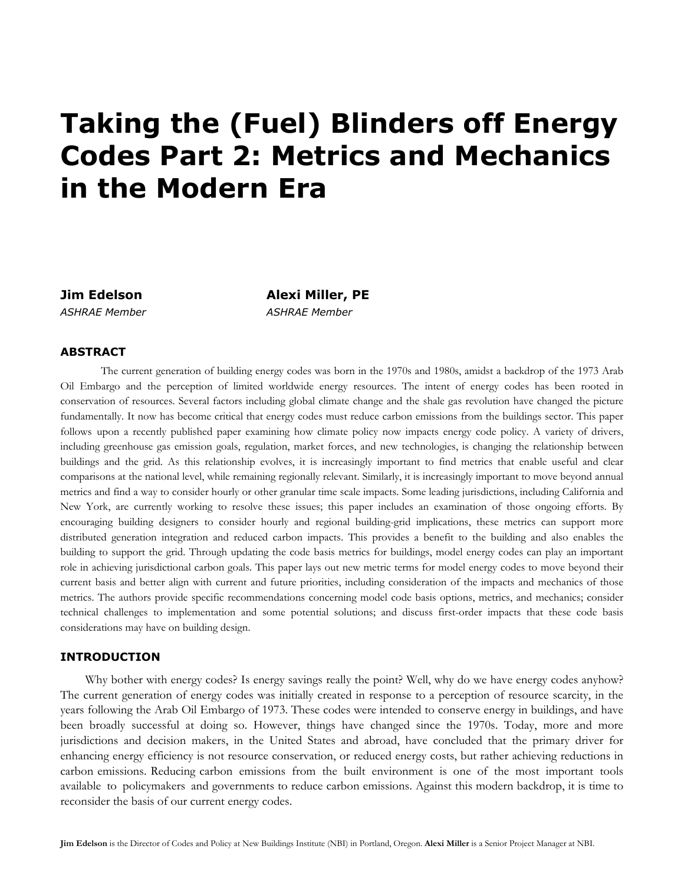# **Taking the (Fuel) Blinders off Energy Codes Part 2: Metrics and Mechanics in the Modern Era**

**Jim Edelson Alexi Miller, PE**  *ASHRAE Member ASHRAE Member*

## **ABSTRACT**

 The current generation of building energy codes was born in the 1970s and 1980s, amidst a backdrop of the 1973 Arab Oil Embargo and the perception of limited worldwide energy resources. The intent of energy codes has been rooted in conservation of resources. Several factors including global climate change and the shale gas revolution have changed the picture fundamentally. It now has become critical that energy codes must reduce carbon emissions from the buildings sector. This paper follows upon a recently published paper examining how climate policy now impacts energy code policy. A variety of drivers, including greenhouse gas emission goals, regulation, market forces, and new technologies, is changing the relationship between buildings and the grid. As this relationship evolves, it is increasingly important to find metrics that enable useful and clear comparisons at the national level, while remaining regionally relevant. Similarly, it is increasingly important to move beyond annual metrics and find a way to consider hourly or other granular time scale impacts. Some leading jurisdictions, including California and New York, are currently working to resolve these issues; this paper includes an examination of those ongoing efforts. By encouraging building designers to consider hourly and regional building-grid implications, these metrics can support more distributed generation integration and reduced carbon impacts. This provides a benefit to the building and also enables the building to support the grid. Through updating the code basis metrics for buildings, model energy codes can play an important role in achieving jurisdictional carbon goals. This paper lays out new metric terms for model energy codes to move beyond their current basis and better align with current and future priorities, including consideration of the impacts and mechanics of those metrics. The authors provide specific recommendations concerning model code basis options, metrics, and mechanics; consider technical challenges to implementation and some potential solutions; and discuss first-order impacts that these code basis considerations may have on building design.

## **INTRODUCTION**

Why bother with energy codes? Is energy savings really the point? Well, why do we have energy codes anyhow? The current generation of energy codes was initially created in response to a perception of resource scarcity, in the years following the Arab Oil Embargo of 1973. These codes were intended to conserve energy in buildings, and have been broadly successful at doing so. However, things have changed since the 1970s. Today, more and more jurisdictions and decision makers, in the United States and abroad, have concluded that the primary driver for enhancing energy efficiency is not resource conservation, or reduced energy costs, but rather achieving reductions in carbon emissions. Reducing carbon emissions from the built environment is one of the most important tools available to policymakers and governments to reduce carbon emissions. Against this modern backdrop, it is time to reconsider the basis of our current energy codes.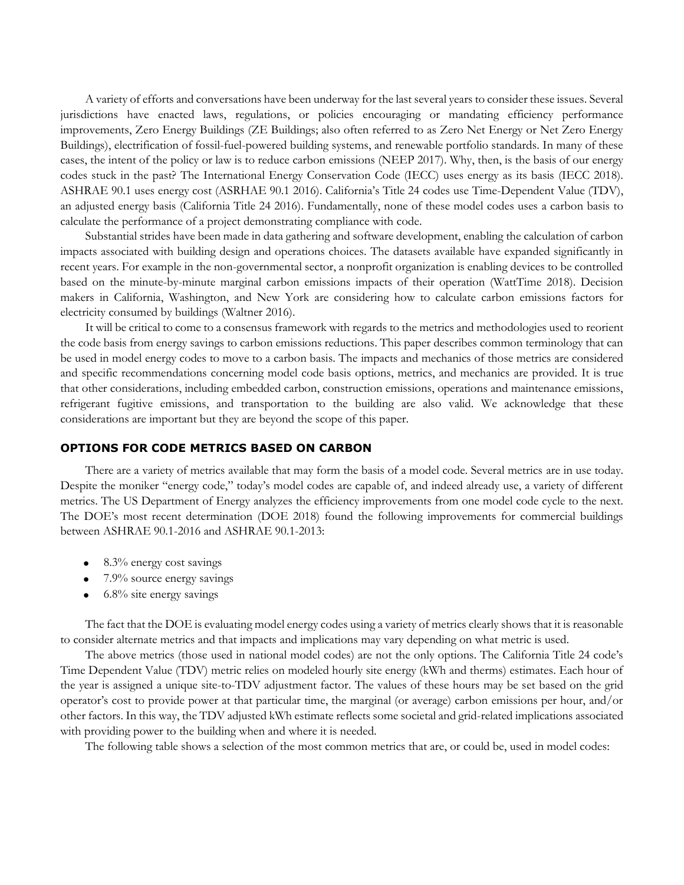A variety of efforts and conversations have been underway for the last several years to consider these issues. Several jurisdictions have enacted laws, regulations, or policies encouraging or mandating efficiency performance improvements, Zero Energy Buildings (ZE Buildings; also often referred to as Zero Net Energy or Net Zero Energy Buildings), electrification of fossil-fuel-powered building systems, and renewable portfolio standards. In many of these cases, the intent of the policy or law is to reduce carbon emissions (NEEP 2017). Why, then, is the basis of our energy codes stuck in the past? The International Energy Conservation Code (IECC) uses energy as its basis (IECC 2018). ASHRAE 90.1 uses energy cost (ASRHAE 90.1 2016). California's Title 24 codes use Time-Dependent Value (TDV), an adjusted energy basis (California Title 24 2016). Fundamentally, none of these model codes uses a carbon basis to calculate the performance of a project demonstrating compliance with code.

Substantial strides have been made in data gathering and software development, enabling the calculation of carbon impacts associated with building design and operations choices. The datasets available have expanded significantly in recent years. For example in the non-governmental sector, a nonprofit organization is enabling devices to be controlled based on the minute-by-minute marginal carbon emissions impacts of their operation (WattTime 2018). Decision makers in California, Washington, and New York are considering how to calculate carbon emissions factors for electricity consumed by buildings (Waltner 2016).

It will be critical to come to a consensus framework with regards to the metrics and methodologies used to reorient the code basis from energy savings to carbon emissions reductions. This paper describes common terminology that can be used in model energy codes to move to a carbon basis. The impacts and mechanics of those metrics are considered and specific recommendations concerning model code basis options, metrics, and mechanics are provided. It is true that other considerations, including embedded carbon, construction emissions, operations and maintenance emissions, refrigerant fugitive emissions, and transportation to the building are also valid. We acknowledge that these considerations are important but they are beyond the scope of this paper.

#### **OPTIONS FOR CODE METRICS BASED ON CARBON**

There are a variety of metrics available that may form the basis of a model code. Several metrics are in use today. Despite the moniker "energy code," today's model codes are capable of, and indeed already use, a variety of different metrics. The US Department of Energy analyzes the efficiency improvements from one model code cycle to the next. The DOE's most recent determination (DOE 2018) found the following improvements for commercial buildings between ASHRAE 90.1-2016 and ASHRAE 90.1-2013:

- 8.3% energy cost savings
- 7.9% source energy savings
- 6.8% site energy savings

The fact that the DOE is evaluating model energy codes using a variety of metrics clearly shows that it is reasonable to consider alternate metrics and that impacts and implications may vary depending on what metric is used.

The above metrics (those used in national model codes) are not the only options. The California Title 24 code's Time Dependent Value (TDV) metric relies on modeled hourly site energy (kWh and therms) estimates. Each hour of the year is assigned a unique site-to-TDV adjustment factor. The values of these hours may be set based on the grid operator's cost to provide power at that particular time, the marginal (or average) carbon emissions per hour, and/or other factors. In this way, the TDV adjusted kWh estimate reflects some societal and grid-related implications associated with providing power to the building when and where it is needed.

The following table shows a selection of the most common metrics that are, or could be, used in model codes: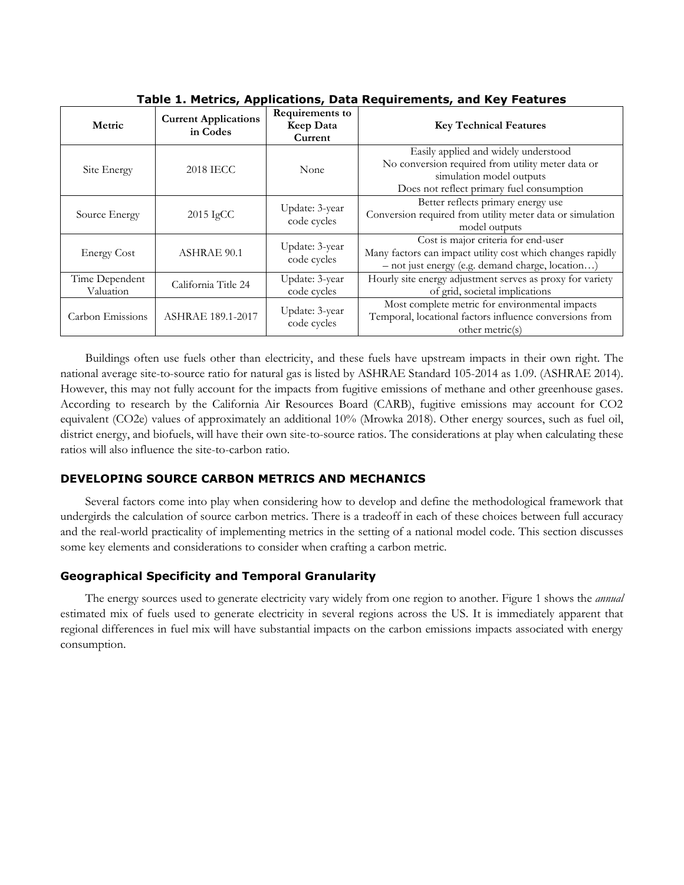| Metric                      | <b>Current Applications</b><br>in Codes | Requirements to<br>Keep Data<br>Current | <b>Key Technical Features</b>                                                                                                                                      |
|-----------------------------|-----------------------------------------|-----------------------------------------|--------------------------------------------------------------------------------------------------------------------------------------------------------------------|
| Site Energy                 | <b>2018 IECC</b>                        | None                                    | Easily applied and widely understood<br>No conversion required from utility meter data or<br>simulation model outputs<br>Does not reflect primary fuel consumption |
| Source Energy               | $2015 \text{ IgCC}$                     | Update: 3-year<br>code cycles           | Better reflects primary energy use<br>Conversion required from utility meter data or simulation<br>model outputs                                                   |
| <b>Energy Cost</b>          | <b>ASHRAE 90.1</b>                      | Update: 3-year<br>code cycles           | Cost is major criteria for end-user<br>Many factors can impact utility cost which changes rapidly<br>- not just energy (e.g. demand charge, location)              |
| Time Dependent<br>Valuation | California Title 24                     | Update: 3-year<br>code cycles           | Hourly site energy adjustment serves as proxy for variety<br>of grid, societal implications                                                                        |
| Carbon Emissions            | ASHRAE 189.1-2017                       | Update: 3-year<br>code cycles           | Most complete metric for environmental impacts<br>Temporal, locational factors influence conversions from<br>other metric(s)                                       |

**Table 1. Metrics, Applications, Data Requirements, and Key Features**

Buildings often use fuels other than electricity, and these fuels have upstream impacts in their own right. The national average site-to-source ratio for natural gas is listed by ASHRAE Standard 105-2014 as 1.09. (ASHRAE 2014). However, this may not fully account for the impacts from fugitive emissions of methane and other greenhouse gases. According to research by the California Air Resources Board (CARB), fugitive emissions may account for CO2 equivalent (CO2e) values of approximately an additional 10% (Mrowka 2018). Other energy sources, such as fuel oil, district energy, and biofuels, will have their own site-to-source ratios. The considerations at play when calculating these ratios will also influence the site-to-carbon ratio.

## **DEVELOPING SOURCE CARBON METRICS AND MECHANICS**

Several factors come into play when considering how to develop and define the methodological framework that undergirds the calculation of source carbon metrics. There is a tradeoff in each of these choices between full accuracy and the real-world practicality of implementing metrics in the setting of a national model code. This section discusses some key elements and considerations to consider when crafting a carbon metric.

## **Geographical Specificity and Temporal Granularity**

The energy sources used to generate electricity vary widely from one region to another. Figure 1 shows the *annual* estimated mix of fuels used to generate electricity in several regions across the US. It is immediately apparent that regional differences in fuel mix will have substantial impacts on the carbon emissions impacts associated with energy consumption.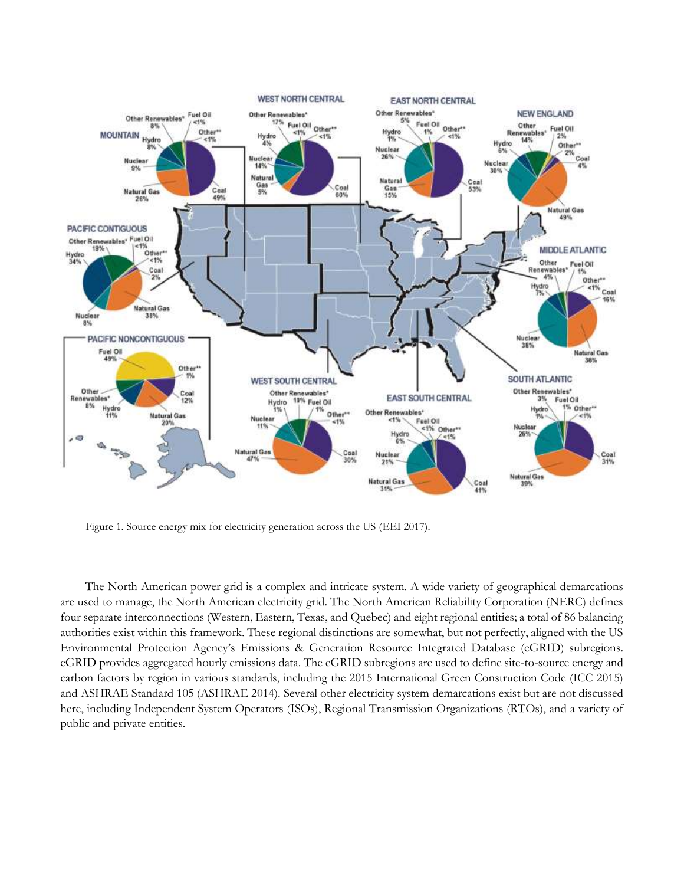

Figure 1. Source energy mix for electricity generation across the US (EEI 2017).

The North American power grid is a complex and intricate system. A wide variety of geographical demarcations are used to manage, the North American electricity grid. The North American Reliability Corporation (NERC) defines four separate interconnections (Western, Eastern, Texas, and Quebec) and eight regional entities; a total of 86 balancing authorities exist within this framework. These regional distinctions are somewhat, but not perfectly, aligned with the US Environmental Protection Agency's Emissions & Generation Resource Integrated Database (eGRID) subregions. eGRID provides aggregated hourly emissions data. The eGRID subregions are used to define site-to-source energy and carbon factors by region in various standards, including the 2015 International Green Construction Code (ICC 2015) and ASHRAE Standard 105 (ASHRAE 2014). Several other electricity system demarcations exist but are not discussed here, including Independent System Operators (ISOs), Regional Transmission Organizations (RTOs), and a variety of public and private entities.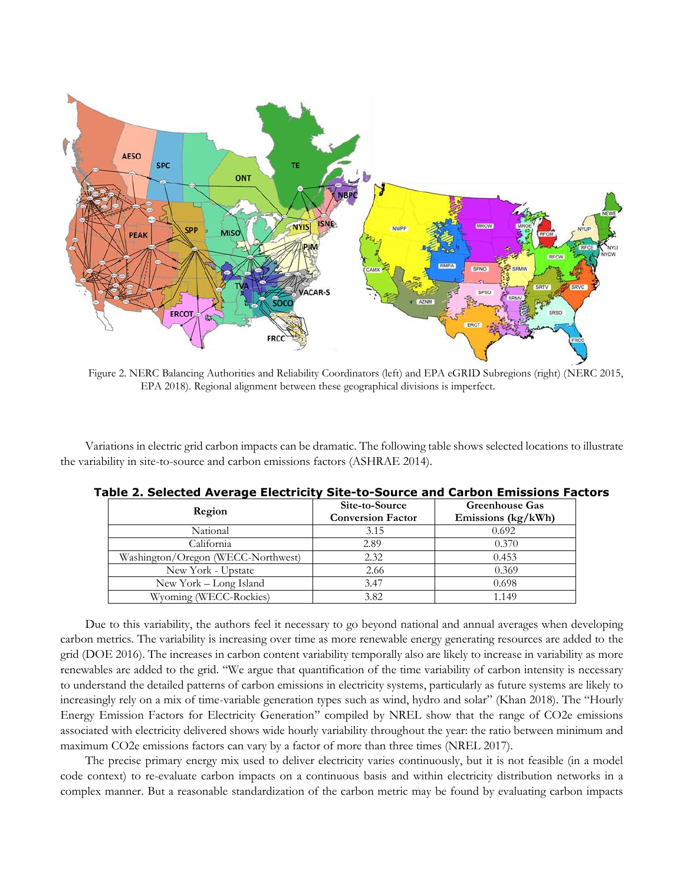

Figure 2. NERC Balancing Authorities and Reliability Coordinators (left) and EPA eGRID Subregions (right) (NERC 2015, EPA 2018). Regional alignment between these geographical divisions is imperfect.

Variations in electric grid carbon impacts can be dramatic. The following table shows selected locations to illustrate the variability in site-to-source and carbon emissions factors (ASHRAE 2014).

|                                    | Site-to-Source           | <b>Greenhouse Gas</b> |
|------------------------------------|--------------------------|-----------------------|
| Region                             | <b>Conversion Factor</b> | Emissions (kg/kWh)    |
| National                           | 3.15                     | 0.692                 |
| California                         | 2.89                     | 0.370                 |
| Washington/Oregon (WECC-Northwest) | 2.32                     | 0.453                 |
| New York - Upstate                 | 2.66                     | 0.369                 |
| New York - Long Island             | 3.47                     | 0.698                 |
| Wyoming (WECC-Rockies)             | 3.82                     | 1.149                 |

**Table 2. Selected Average Electricity Site-to-Source and Carbon Emissions Factors**

Due to this variability, the authors feel it necessary to go beyond national and annual averages when developing carbon metrics. The variability is increasing over time as more renewable energy generating resources are added to the grid (DOE 2016). The increases in carbon content variability temporally also are likely to increase in variability as more renewables are added to the grid. "We argue that quantification of the time variability of carbon intensity is necessary to understand the detailed patterns of [carbon emissions](https://www.sciencedirect.com/topics/earth-and-planetary-sciences/carbon-emission) in electricity systems, particularly as future systems are likely to increasingly rely on a mix of time-variable generation types such as wind, hydro and solar" (Khan 2018). The "Hourly Energy Emission Factors for Electricity Generation" compiled by NREL show that the range of CO2e emissions associated with electricity delivered shows wide hourly variability throughout the year: the ratio between minimum and maximum CO2e emissions factors can vary by a factor of more than three times (NREL 2017).

The precise primary energy mix used to deliver electricity varies continuously, but it is not feasible (in a model code context) to re-evaluate carbon impacts on a continuous basis and within electricity distribution networks in a complex manner. But a reasonable standardization of the carbon metric may be found by evaluating carbon impacts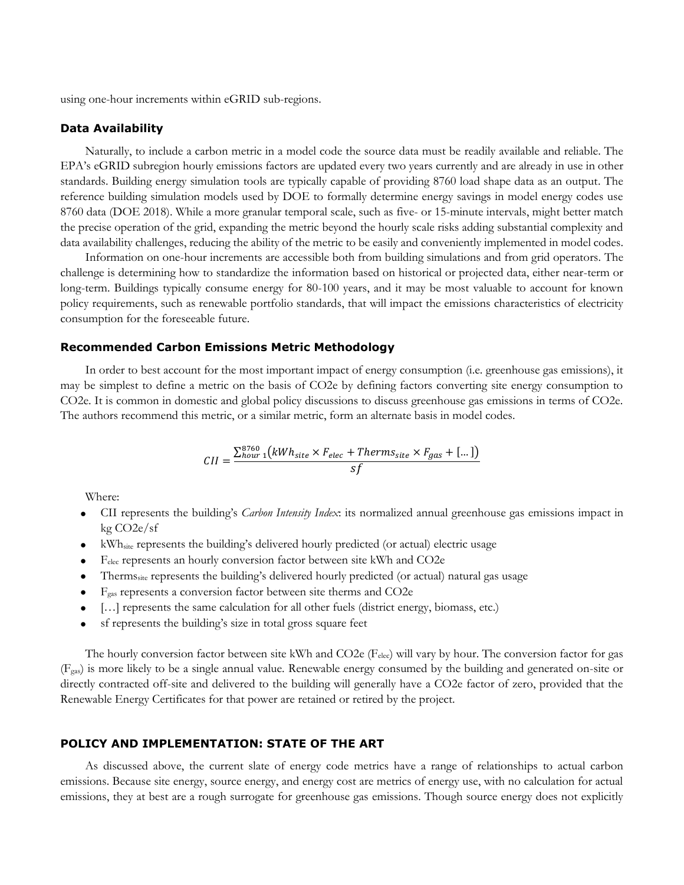using one-hour increments within eGRID sub-regions.

#### **Data Availability**

Naturally, to include a carbon metric in a model code the source data must be readily available and reliable. The EPA's eGRID subregion hourly emissions factors are updated every two years currently and are already in use in other standards. Building energy simulation tools are typically capable of providing 8760 load shape data as an output. The reference building simulation models used by DOE to formally determine energy savings in model energy codes use 8760 data (DOE 2018). While a more granular temporal scale, such as five- or 15-minute intervals, might better match the precise operation of the grid, expanding the metric beyond the hourly scale risks adding substantial complexity and data availability challenges, reducing the ability of the metric to be easily and conveniently implemented in model codes.

Information on one-hour increments are accessible both from building simulations and from grid operators. The challenge is determining how to standardize the information based on historical or projected data, either near-term or long-term. Buildings typically consume energy for 80-100 years, and it may be most valuable to account for known policy requirements, such as renewable portfolio standards, that will impact the emissions characteristics of electricity consumption for the foreseeable future.

## **Recommended Carbon Emissions Metric Methodology**

In order to best account for the most important impact of energy consumption (i.e. greenhouse gas emissions), it may be simplest to define a metric on the basis of CO2e by defining factors converting site energy consumption to CO2e. It is common in domestic and global policy discussions to discuss greenhouse gas emissions in terms of CO2e. The authors recommend this metric, or a similar metric, form an alternate basis in model codes.

$$
CII = \frac{\sum_{hour}^{8760} (kWh_{site} \times F_{elec} + Therms_{site} \times F_{gas} + [...])}{sf}
$$

Where:

- CII represents the building's *Carbon Intensity Index*: its normalized annual greenhouse gas emissions impact in kg CO2e/sf
- kWhsite represents the building's delivered hourly predicted (or actual) electric usage
- Felec represents an hourly conversion factor between site kWh and CO2e
- Thermssite represents the building's delivered hourly predicted (or actual) natural gas usage
- Fgas represents a conversion factor between site therms and CO2e
- […] represents the same calculation for all other fuels (district energy, biomass, etc.)
- sf represents the building's size in total gross square feet

The hourly conversion factor between site kWh and CO2e (F<sub>elec</sub>) will vary by hour. The conversion factor for gas (Fgas) is more likely to be a single annual value. Renewable energy consumed by the building and generated on-site or directly contracted off-site and delivered to the building will generally have a CO2e factor of zero, provided that the Renewable Energy Certificates for that power are retained or retired by the project.

## **POLICY AND IMPLEMENTATION: STATE OF THE ART**

As discussed above, the current slate of energy code metrics have a range of relationships to actual carbon emissions. Because site energy, source energy, and energy cost are metrics of energy use, with no calculation for actual emissions, they at best are a rough surrogate for greenhouse gas emissions. Though source energy does not explicitly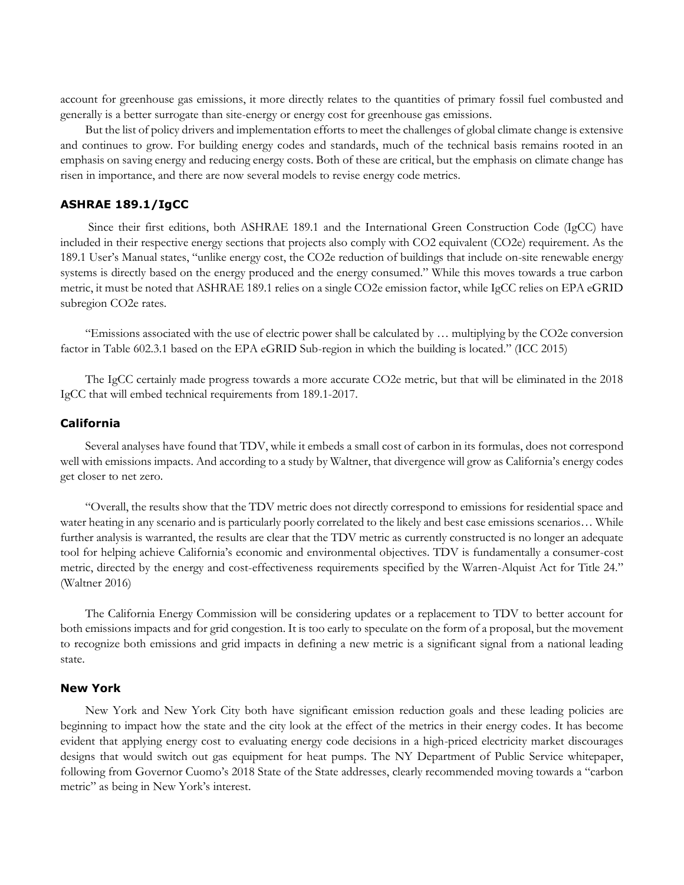account for greenhouse gas emissions, it more directly relates to the quantities of primary fossil fuel combusted and generally is a better surrogate than site-energy or energy cost for greenhouse gas emissions.

But the list of policy drivers and implementation efforts to meet the challenges of global climate change is extensive and continues to grow. For building energy codes and standards, much of the technical basis remains rooted in an emphasis on saving energy and reducing energy costs. Both of these are critical, but the emphasis on climate change has risen in importance, and there are now several models to revise energy code metrics.

## **ASHRAE 189.1/IgCC**

Since their first editions, both ASHRAE 189.1 and the International Green Construction Code (IgCC) have included in their respective energy sections that projects also comply with CO2 equivalent (CO2e) requirement. As the 189.1 User's Manual states, "unlike energy cost, the CO2e reduction of buildings that include on-site renewable energy systems is directly based on the energy produced and the energy consumed." While this moves towards a true carbon metric, it must be noted that ASHRAE 189.1 relies on a single CO2e emission factor, while IgCC relies on EPA eGRID subregion CO2e rates.

"Emissions associated with the use of electric power shall be calculated by … multiplying by the CO2e conversion factor in Table 602.3.1 based on the EPA eGRID Sub-region in which the building is located." (ICC 2015)

The IgCC certainly made progress towards a more accurate CO2e metric, but that will be eliminated in the 2018 IgCC that will embed technical requirements from 189.1-2017.

#### **California**

Several analyses have found that TDV, while it embeds a small cost of carbon in its formulas, does not correspond well with emissions impacts. And according to a study by Waltner, that divergence will grow as California's energy codes get closer to net zero.

"Overall, the results show that the TDV metric does not directly correspond to emissions for residential space and water heating in any scenario and is particularly poorly correlated to the likely and best case emissions scenarios… While further analysis is warranted, the results are clear that the TDV metric as currently constructed is no longer an adequate tool for helping achieve California's economic and environmental objectives. TDV is fundamentally a consumer-cost metric, directed by the energy and cost-effectiveness requirements specified by the Warren-Alquist Act for Title 24." (Waltner 2016)

The California Energy Commission will be considering updates or a replacement to TDV to better account for both emissions impacts and for grid congestion. It is too early to speculate on the form of a proposal, but the movement to recognize both emissions and grid impacts in defining a new metric is a significant signal from a national leading state.

## **New York**

New York and New York City both have significant emission reduction goals and these leading policies are beginning to impact how the state and the city look at the effect of the metrics in their energy codes. It has become evident that applying energy cost to evaluating energy code decisions in a high-priced electricity market discourages designs that would switch out gas equipment for heat pumps. The NY Department of Public Service whitepaper, following from Governor Cuomo's 2018 State of the State addresses, clearly recommended moving towards a "carbon metric" as being in New York's interest.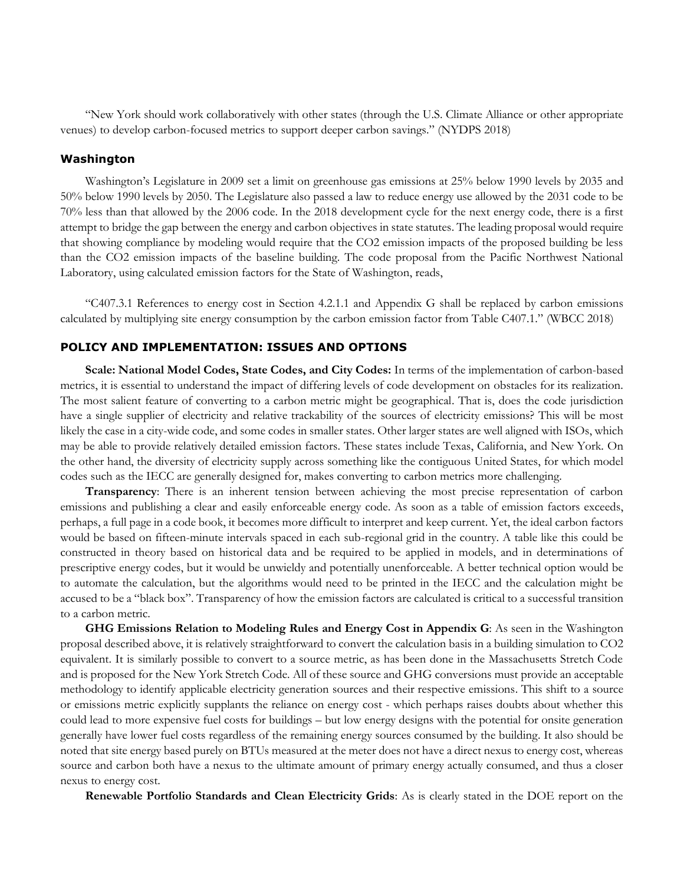"New York should work collaboratively with other states (through the U.S. Climate Alliance or other appropriate venues) to develop carbon-focused metrics to support deeper carbon savings." (NYDPS 2018)

#### **Washington**

Washington's Legislature in 2009 set a limit on greenhouse gas emissions at 25% below 1990 levels by 2035 and 50% below 1990 levels by 2050. The Legislature also passed a law to reduce energy use allowed by the 2031 code to be 70% less than that allowed by the 2006 code. In the 2018 development cycle for the next energy code, there is a first attempt to bridge the gap between the energy and carbon objectives in state statutes. The leading proposal would require that showing compliance by modeling would require that the CO2 emission impacts of the proposed building be less than the CO2 emission impacts of the baseline building. The code proposal from the Pacific Northwest National Laboratory, using calculated emission factors for the State of Washington, reads,

"C407.3.1 References to energy cost in Section 4.2.1.1 and Appendix G shall be replaced by carbon emissions calculated by multiplying site energy consumption by the carbon emission factor from Table C407.1." (WBCC 2018)

#### **POLICY AND IMPLEMENTATION: ISSUES AND OPTIONS**

**Scale: National Model Codes, State Codes, and City Codes:** In terms of the implementation of carbon-based metrics, it is essential to understand the impact of differing levels of code development on obstacles for its realization. The most salient feature of converting to a carbon metric might be geographical. That is, does the code jurisdiction have a single supplier of electricity and relative trackability of the sources of electricity emissions? This will be most likely the case in a city-wide code, and some codes in smaller states. Other larger states are well aligned with ISOs, which may be able to provide relatively detailed emission factors. These states include Texas, California, and New York. On the other hand, the diversity of electricity supply across something like the contiguous United States, for which model codes such as the IECC are generally designed for, makes converting to carbon metrics more challenging.

**Transparency**: There is an inherent tension between achieving the most precise representation of carbon emissions and publishing a clear and easily enforceable energy code. As soon as a table of emission factors exceeds, perhaps, a full page in a code book, it becomes more difficult to interpret and keep current. Yet, the ideal carbon factors would be based on fifteen-minute intervals spaced in each sub-regional grid in the country. A table like this could be constructed in theory based on historical data and be required to be applied in models, and in determinations of prescriptive energy codes, but it would be unwieldy and potentially unenforceable. A better technical option would be to automate the calculation, but the algorithms would need to be printed in the IECC and the calculation might be accused to be a "black box". Transparency of how the emission factors are calculated is critical to a successful transition to a carbon metric.

**GHG Emissions Relation to Modeling Rules and Energy Cost in Appendix G**: As seen in the Washington proposal described above, it is relatively straightforward to convert the calculation basis in a building simulation to CO2 equivalent. It is similarly possible to convert to a source metric, as has been done in the Massachusetts Stretch Code and is proposed for the New York Stretch Code. All of these source and GHG conversions must provide an acceptable methodology to identify applicable electricity generation sources and their respective emissions. This shift to a source or emissions metric explicitly supplants the reliance on energy cost - which perhaps raises doubts about whether this could lead to more expensive fuel costs for buildings – but low energy designs with the potential for onsite generation generally have lower fuel costs regardless of the remaining energy sources consumed by the building. It also should be noted that site energy based purely on BTUs measured at the meter does not have a direct nexus to energy cost, whereas source and carbon both have a nexus to the ultimate amount of primary energy actually consumed, and thus a closer nexus to energy cost.

**Renewable Portfolio Standards and Clean Electricity Grids**: As is clearly stated in the DOE report on the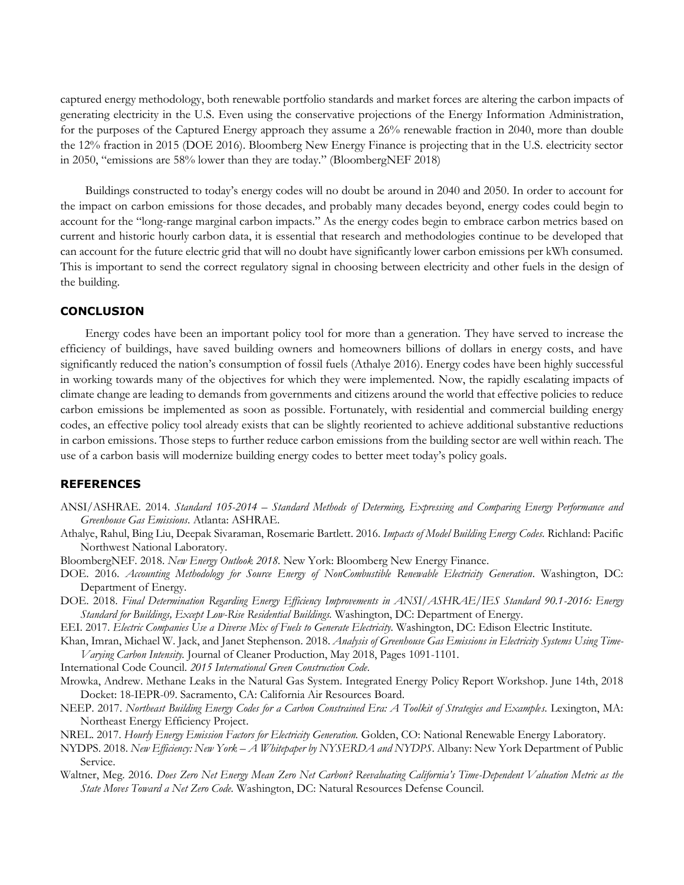captured energy methodology, both renewable portfolio standards and market forces are altering the carbon impacts of generating electricity in the U.S. Even using the conservative projections of the Energy Information Administration, for the purposes of the Captured Energy approach they assume a 26% renewable fraction in 2040, more than double the 12% fraction in 2015 (DOE 2016). Bloomberg New Energy Finance is projecting that in the U.S. electricity sector in 2050, "emissions are 58% lower than they are today." (BloombergNEF 2018)

Buildings constructed to today's energy codes will no doubt be around in 2040 and 2050. In order to account for the impact on carbon emissions for those decades, and probably many decades beyond, energy codes could begin to account for the "long-range marginal carbon impacts." As the energy codes begin to embrace carbon metrics based on current and historic hourly carbon data, it is essential that research and methodologies continue to be developed that can account for the future electric grid that will no doubt have significantly lower carbon emissions per kWh consumed. This is important to send the correct regulatory signal in choosing between electricity and other fuels in the design of the building.

## **CONCLUSION**

Energy codes have been an important policy tool for more than a generation. They have served to increase the efficiency of buildings, have saved building owners and homeowners billions of dollars in energy costs, and have significantly reduced the nation's consumption of fossil fuels (Athalye 2016). Energy codes have been highly successful in working towards many of the objectives for which they were implemented. Now, the rapidly escalating impacts of climate change are leading to demands from governments and citizens around the world that effective policies to reduce carbon emissions be implemented as soon as possible. Fortunately, with residential and commercial building energy codes, an effective policy tool already exists that can be slightly reoriented to achieve additional substantive reductions in carbon emissions. Those steps to further reduce carbon emissions from the building sector are well within reach. The use of a carbon basis will modernize building energy codes to better meet today's policy goals.

## **REFERENCES**

- ANSI/ASHRAE. 2014. *Standard 105-2014 – Standard Methods of Determing, Expressing and Comparing Energy Performance and Greenhouse Gas Emissions*. Atlanta: ASHRAE.
- Athalye, Rahul, Bing Liu, Deepak Sivaraman, Rosemarie Bartlett. 2016. *Impacts of Model Building Energy Codes.* Richland: Pacific Northwest National Laboratory.
- BloombergNEF. 2018. *New Energy Outlook 2018.* New York: Bloomberg New Energy Finance.
- DOE. 2016. *Accounting Methodology for Source Energy of NonCombustible Renewable Electricity Generation*. Washington, DC: Department of Energy.
- DOE. 2018. *Final Determination Regarding Energy Efficiency Improvements in ANSI/ASHRAE/IES Standard 90.1-2016: Energy Standard for Buildings, Except Low-Rise Residential Buildings.* Washington, DC: Department of Energy.
- EEI. 2017. *Electric Companies Use a Diverse Mix of Fuels to Generate Electricity.* Washington, DC: Edison Electric Institute.
- Khan, Imran, Michael W. Jack, and Janet Stephenson. 2018. *Analysis of Greenhouse Gas Emissions in Electricity Systems Using Time-Varying Carbon Intensity.* Journal of Cleaner Production, May 2018, Pages 1091-1101.
- International Code Council. *2015 International Green Construction Code*.
- Mrowka, Andrew. Methane Leaks in the Natural Gas System. Integrated Energy Policy Report Workshop. June 14th, 2018 Docket: 18-IEPR-09. Sacramento, CA: California Air Resources Board.
- NEEP. 2017. *Northeast Building Energy Codes for a Carbon Constrained Era: A Toolkit of Strategies and Examples.* Lexington, MA: Northeast Energy Efficiency Project.
- NREL. 2017. *Hourly Energy Emission Factors for Electricity Generation.* Golden, CO: National Renewable Energy Laboratory.
- NYDPS. 2018. *New Efficiency: New York – A Whitepaper by NYSERDA and NYDPS*. Albany: New York Department of Public Service.
- Waltner, Meg. 2016. *Does Zero Net Energy Mean Zero Net Carbon? Reevaluating California's Time-Dependent Valuation Metric as the State Moves Toward a Net Zero Code.* Washington, DC: Natural Resources Defense Council.